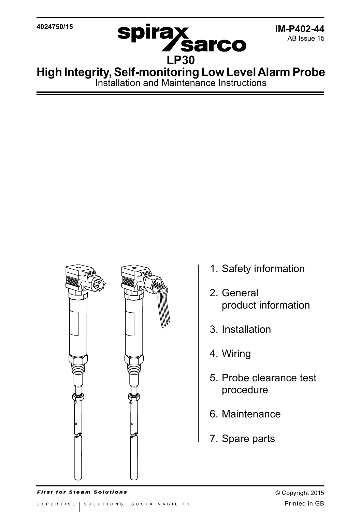**4024750/15**

**IM-P402-44** AB Issue 15

**spirax<br>LP30 High Integrity, Self-monitoring Low Level Alarm Probe** Installation and Maintenance Instructions



- 1. Safety information
- 2. General product information
- 3. Installation
- 4. Wiring
- 5. Probe clearance test procedure
- 6. Maintenance
- 7. Spare parts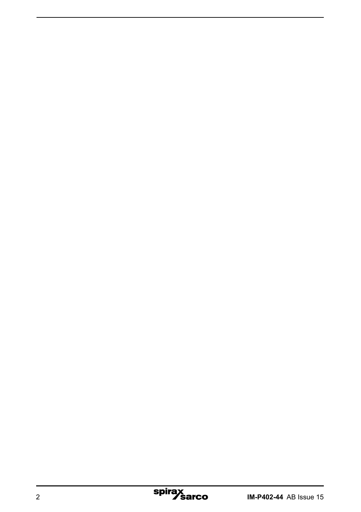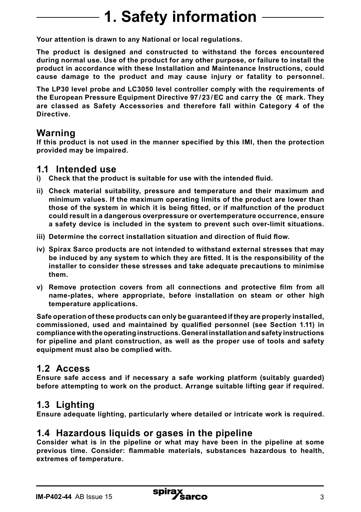# **1. Safety information**

**Your attention is drawn to any National or local regulations.**

**The product is designed and constructed to withstand the forces encountered during normal use. Use of the product for any other purpose, or failure to install the product in accordance with these Installation and Maintenance Instructions, could cause damage to the product and may cause injury or fatality to personnel.**

**The LP30 level probe and LC3050 level controller comply with the requirements of the European Pressure Equipment Directive 97/23/EC and carry the**  $\mathcal{K}$  **mark. They are classed as Safety Accessories and therefore fall within Category 4 of the Directive.** 

## **Warning**

**If this product is not used in the manner specified by this IMI, then the protection provided may be impaired.**

### **1.1 Intended use**

- **i) Check that the product is suitable for use with the intended fluid.**
- **ii) Check material suitability, pressure and temperature and their maximum and minimum values. If the maximum operating limits of the product are lower than those of the system in which it is being fitted, or if malfunction of the product could result in a dangerous overpressure or overtemperature occurrence, ensure a safety device is included in the system to prevent such over-limit situations.**
- **iii) Determine the correct installation situation and direction of fluid flow.**
- **iv) Spirax Sarco products are not intended to withstand external stresses that may be induced by any system to which they are fitted. It is the responsibility of the installer to consider these stresses and take adequate precautions to minimise them.**
- **v) Remove protection covers from all connections and protective film from all name-plates, where appropriate, before installation on steam or other high temperature applications.**

**Safe operation of these products can only be guaranteed if they are properly installed, commissioned, used and maintained by qualified personnel (see Section 1.11) in compliance with the operating instructions. General installation and safety instructions for pipeline and plant construction, as well as the proper use of tools and safety equipment must also be complied with.**

### **1.2 Access**

**Ensure safe access and if necessary a safe working platform (suitably guarded) before attempting to work on the product. Arrange suitable lifting gear if required.**

### **1.3 Lighting**

**Ensure adequate lighting, particularly where detailed or intricate work is required.**

### **1.4 Hazardous liquids or gases in the pipeline**

**Consider what is in the pipeline or what may have been in the pipeline at some previous time. Consider: flammable materials, substances hazardous to health, extremes of temperature.**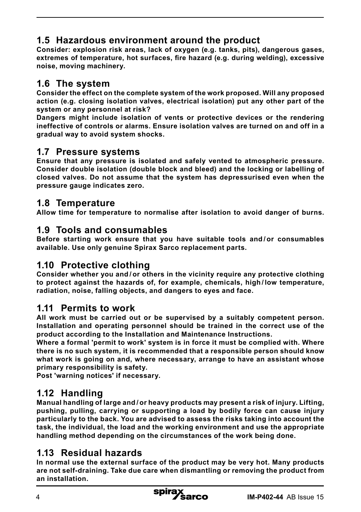# **1.5 Hazardous environment around the product**

**Consider: explosion risk areas, lack of oxygen (e.g. tanks, pits), dangerous gases, extremes of temperature, hot surfaces, fire hazard (e.g. during welding), excessive noise, moving machinery.**

# **1.6 The system**

**Consider the effect on the complete system of the work proposed. Will any proposed action (e.g. closing isolation valves, electrical isolation) put any other part of the system or any personnel at risk?** 

**Dangers might include isolation of vents or protective devices or the rendering ineffective of controls or alarms. Ensure isolation valves are turned on and off in a gradual way to avoid system shocks.**

## **1.7 Pressure systems**

**Ensure that any pressure is isolated and safely vented to atmospheric pressure. Consider double isolation (double block and bleed) and the locking or labelling of closed valves. Do not assume that the system has depressurised even when the pressure gauge indicates zero.**

### **1.8 Temperature**

**Allow time for temperature to normalise after isolation to avoid danger of burns.**

## **1.9 Tools and consumables**

**Before starting work ensure that you have suitable tools and / or consumables available. Use only genuine Spirax Sarco replacement parts.**

### **1.10 Protective clothing**

**Consider whether you and / or others in the vicinity require any protective clothing to protect against the hazards of, for example, chemicals, high / low temperature, radiation, noise, falling objects, and dangers to eyes and face.**

### **1.11 Permits to work**

**All work must be carried out or be supervised by a suitably competent person. Installation and operating personnel should be trained in the correct use of the product according to the Installation and Maintenance Instructions.**

**Where a formal 'permit to work' system is in force it must be complied with. Where there is no such system, it is recommended that a responsible person should know what work is going on and, where necessary, arrange to have an assistant whose primary responsibility is safety.**

**Post 'warning notices' if necessary.**

# **1.12 Handling**

**Manual handling of large and / or heavy products may present a risk of injury. Lifting, pushing, pulling, carrying or supporting a load by bodily force can cause injury particularly to the back. You are advised to assess the risks taking into account the task, the individual, the load and the working environment and use the appropriate handling method depending on the circumstances of the work being done.**

# **1.13 Residual hazards**

**In normal use the external surface of the product may be very hot. Many products are not self-draining. Take due care when dismantling or removing the product from an installation.**

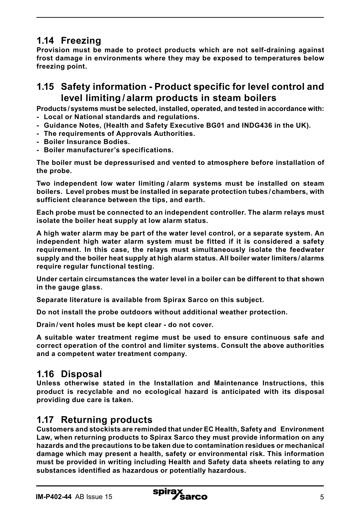# **1.14 Freezing**

**Provision must be made to protect products which are not self-draining against frost damage in environments where they may be exposed to temperatures below freezing point.**

# **1.15 Safety information - Product specific for level control and level limiting / alarm products in steam boilers**

**Products/ systems must be selected, installed, operated, and tested in accordance with:**

- **- Local or National standards and regulations.**
- **- Guidance Notes, (Health and Safety Executive BG01 and INDG436 in the UK).**
- **- The requirements of Approvals Authorities.**
- **- Boiler Insurance Bodies.**
- **- Boiler manufacturer's specifications.**

**The boiler must be depressurised and vented to atmosphere before installation of the probe.**

**Two independent low water limiting / alarm systems must be installed on steam boilers. Level probes must be installed in separate protection tubes / chambers, with sufficient clearance between the tips, and earth.** 

**Each probe must be connected to an independent controller. The alarm relays must isolate the boiler heat supply at low alarm status.**

**A high water alarm may be part of the water level control, or a separate system. An independent high water alarm system must be fitted if it is considered a safety requirement. In this case, the relays must simultaneously isolate the feedwater supply and the boiler heat supply at high alarm status. All boiler water limiters /alarms require regular functional testing.** 

**Under certain circumstances the water level in a boiler can be different to that shown in the gauge glass.**

**Separate literature is available from Spirax Sarco on this subject.**

**Do not install the probe outdoors without additional weather protection.**

**Drain / vent holes must be kept clear - do not cover.**

**A suitable water treatment regime must be used to ensure continuous safe and correct operation of the control and limiter systems. Consult the above authorities and a competent water treatment company.**

### **1.16 Disposal**

**Unless otherwise stated in the Installation and Maintenance Instructions, this product is recyclable and no ecological hazard is anticipated with its disposal providing due care is taken.**

### **1.17 Returning products**

**Customers and stockists are reminded that under EC Health, Safety and Environment Law, when returning products to Spirax Sarco they must provide information on any hazards and the precautions to be taken due to contamination residues or mechanical damage which may present a health, safety or environmental risk. This information must be provided in writing including Health and Safety data sheets relating to any substances identified as hazardous or potentially hazardous.**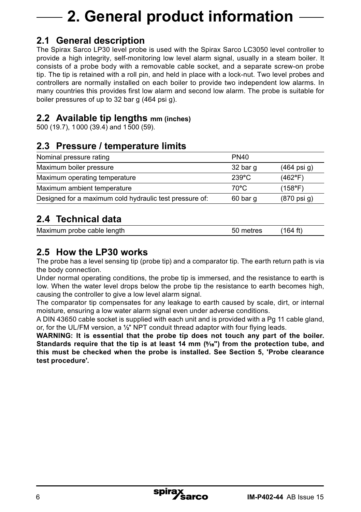# **2. General product information**

# **2.1 General description**

The Spirax Sarco LP30 level probe is used with the Spirax Sarco LC3050 level controller to provide a high integrity, self-monitoring low level alarm signal, usually in a steam boiler. It consists of a probe body with a removable cable socket, and a separate screw-on probe tip. The tip is retained with a roll pin, and held in place with a lock-nut. Two level probes and controllers are normally installed on each boiler to provide two independent low alarms. In many countries this provides first low alarm and second low alarm. The probe is suitable for boiler pressures of up to 32 bar g (464 psi g).

## **2.2 Available tip lengths mm (inches)**

500 (19.7), 1000 (39.4) and 1500 (59).

# **2.3 Pressure / temperature limits**

| Nominal pressure rating                                 | <b>PN40</b>     |                        |
|---------------------------------------------------------|-----------------|------------------------|
| Maximum boiler pressure                                 | 32 bar q        | $(464 \text{ psi } q)$ |
| Maximum operating temperature                           | $239^{\circ}$ C | $(462^{\circ}F)$       |
| Maximum ambient temperature                             | 70°C            | (158°F)                |
| Designed for a maximum cold hydraulic test pressure of: | 60 bar q        | $(870 \text{ psi g})$  |

# **2.4 Technical data**

| Maximum probe cable length | metres<br>וור |  |
|----------------------------|---------------|--|
|                            |               |  |

# **2.5 How the LP30 works**

The probe has a level sensing tip (probe tip) and a comparator tip. The earth return path is via the body connection.

Under normal operating conditions, the probe tip is immersed, and the resistance to earth is low. When the water level drops below the probe tip the resistance to earth becomes high, causing the controller to give a low level alarm signal.

The comparator tip compensates for any leakage to earth caused by scale, dirt, or internal moisture, ensuring a low water alarm signal even under adverse conditions.

A DIN 43650 cable socket is supplied with each unit and is provided with a Pg 11 cable gland, or, for the UL/FM version, a **½**" NPT conduit thread adaptor with four flying leads.

**WARNING: It is essential that the probe tip does not touch any part of the boiler. Standards require that the tip is at least 14 mm ( ") from the protection tube, and this must be checked when the probe is installed. See Section 5, 'Probe clearance test procedure'.**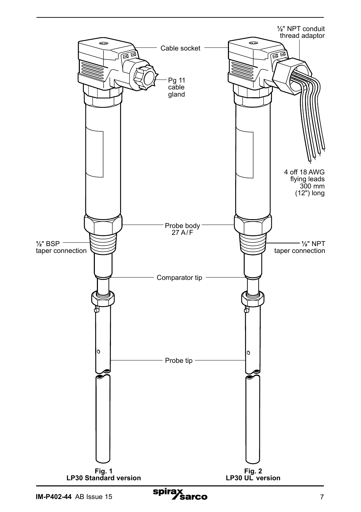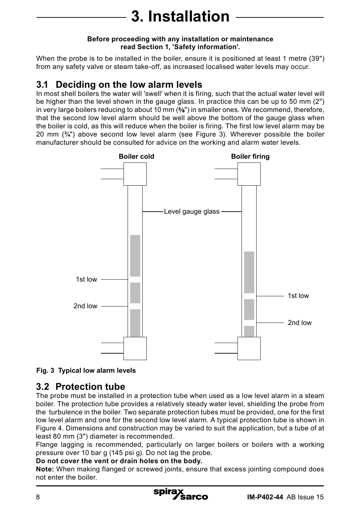# **3. Installation**

#### **Before proceeding with any installation or maintenance read Section 1, 'Safety information'.**

When the probe is to be installed in the boiler, ensure it is positioned at least 1 metre (39") from any safety valve or steam take-off, as increased localised water levels may occur.

# **3.1 Deciding on the low alarm levels**

In most shell boilers the water will 'swell' when it is firing, such that the actual water level will be higher than the level shown in the gauge glass. In practice this can be up to 50 mm (2") in very large boilers reducing to about 10 mm  $($ %") in smaller ones. We recommend, therefore, that the second low level alarm should be well above the bottom of the gauge glass when the boiler is cold, as this will reduce when the boiler is firing. The first low level alarm may be 20 mm (**¾**") above second low level alarm (see Figure 3). Wherever possible the boiler manufacturer should be consulted for advice on the working and alarm water levels.





### **3.2 Protection tube**

The probe must be installed in a protection tube when used as a low level alarm in a steam boiler. The protection tube provides a relatively steady water level, shielding the probe from the turbulence in the boiler. Two separate protection tubes must be provided, one for the first low level alarm and one for the second low level alarm. A typical protection tube is shown in Figure 4. Dimensions and construction may be varied to suit the application, but a tube of at least 80 mm (3") diameter is recommended.

Flange lagging is recommended, particularly on larger boilers or boilers with a working pressure over 10 bar g (145 psi g). Do not lag the probe.

### **Do not cover the vent or drain holes on the body.**

**Note:** When making flanged or screwed joints, ensure that excess jointing compound does not enter the boiler.

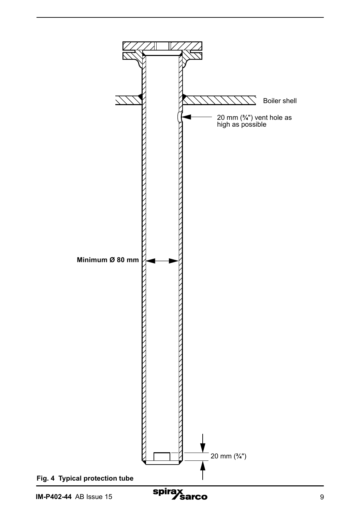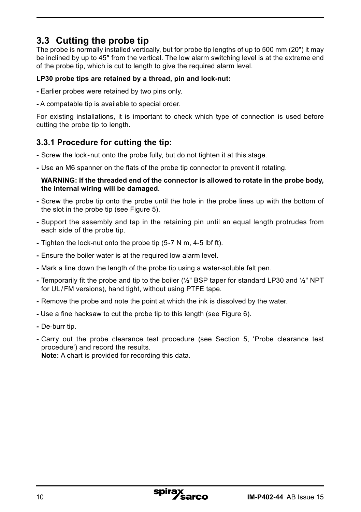# **3.3 Cutting the probe tip**

The probe is normally installed vertically, but for probe tip lengths of up to 500 mm (20") it may be inclined by up to 45**°** from the vertical. The low alarm switching level is at the extreme end of the probe tip, which is cut to length to give the required alarm level.

#### **LP30 probe tips are retained by a thread, pin and lock-nut:**

- **-** Earlier probes were retained by two pins only.
- **-** A compatable tip is available to special order.

For existing installations, it is important to check which type of connection is used before cutting the probe tip to length.

### **3.3.1 Procedure for cutting the tip:**

- **-** Screw the lock-nut onto the probe fully, but do not tighten it at this stage.
- **-** Use an M6 spanner on the flats of the probe tip connector to prevent it rotating.

#### **WARNING: If the threaded end of the connector is allowed to rotate in the probe body, the internal wiring will be damaged.**

- **-** Screw the probe tip onto the probe until the hole in the probe lines up with the bottom of the slot in the probe tip (see Figure 5).
- **-** Support the assembly and tap in the retaining pin until an equal length protrudes from each side of the probe tip.
- **-** Tighten the lock-nut onto the probe tip (5-7 N m, 4-5 lbf ft).
- **-** Ensure the boiler water is at the required low alarm level.
- **-** Mark a line down the length of the probe tip using a water-soluble felt pen.
- **-** Temporarily fit the probe and tip to the boiler (**½**" BSP taper for standard LP30 and **½**" NPT for UL/FM versions), hand tight, without using PTFE tape.
- **-** Remove the probe and note the point at which the ink is dissolved by the water.
- **-** Use a fine hacksaw to cut the probe tip to this length (see Figure 6).
- **-** De-burr tip.
- **-** Carry out the probe clearance test procedure (see Section 5, 'Probe clearance test procedure') and record the results.

**Note:** A chart is provided for recording this data.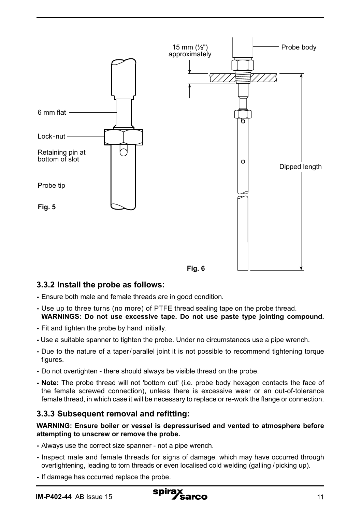

### **3.3.2 Install the probe as follows:**

- **-** Ensure both male and female threads are in good condition.
- **-** Use up to three turns (no more) of PTFE thread sealing tape on the probe thread. **WARNINGS: Do not use excessive tape. Do not use paste type jointing compound.**
- **-** Fit and tighten the probe by hand initially.
- **-** Use a suitable spanner to tighten the probe. Under no circumstances use a pipe wrench.
- **-** Due to the nature of a taper/parallel joint it is not possible to recommend tightening torque figures.
- **-** Do not overtighten there should always be visible thread on the probe.
- **- Note:** The probe thread will not 'bottom out' (i.e. probe body hexagon contacts the face of the female screwed connection), unless there is excessive wear or an out-of-tolerance female thread, in which case it will be necessary to replace or re-work the flange or connection.

### **3.3.3 Subsequent removal and refitting:**

### **WARNING: Ensure boiler or vessel is depressurised and vented to atmosphere before attempting to unscrew or remove the probe.**

- **-** Always use the correct size spanner not a pipe wrench.
- **-** Inspect male and female threads for signs of damage, which may have occurred through overtightening, leading to torn threads or even localised cold welding (galling /picking up).
- **-** If damage has occurred replace the probe.

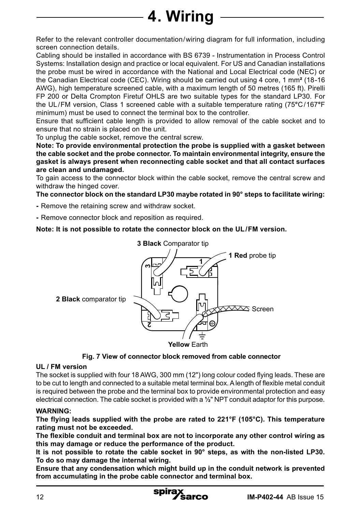

Refer to the relevant controller documentation/wiring diagram for full information, including screen connection details.

Cabling should be installed in accordance with BS 6739 - Instrumentation in Process Control Systems: Installation design and practice or local equivalent. For US and Canadian installations the probe must be wired in accordance with the National and Local Electrical code (NEC) or the Canadian Electrical code (CEC). Wiring should be carried out using 4 core, 1 mm**²** (18-16 AWG), high temperature screened cable, with a maximum length of 50 metres (165 ft). Pirelli FP 200 or Delta Crompton Firetuf OHLS are two suitable types for the standard LP30. For the UL/FM version, Class 1 screened cable with a suitable temperature rating (75**°**C/167**°**F minimum) must be used to connect the terminal box to the controller.

Ensure that sufficient cable length is provided to allow removal of the cable socket and to ensure that no strain is placed on the unit.

To unplug the cable socket, remove the central screw.

**Note: To provide environmental protection the probe is supplied with a gasket between the cable socket and the probe connector. To maintain environmental integrity, ensure the gasket is always present when reconnecting cable socket and that all contact surfaces are clean and undamaged.**

To gain access to the connector block within the cable socket, remove the central screw and withdraw the hinged cover.

**The connector block on the standard LP30 maybe rotated in 90° steps to facilitate wiring:**

**-** Remove the retaining screw and withdraw socket.

**-** Remove connector block and reposition as required.

**Note: It is not possible to rotate the connector block on the UL/FM version.**



**Yellow** Earth



#### **UL / FM version**

The socket is supplied with four 18 AWG, 300 mm (12") long colour coded flying leads. These are to be cut to length and connected to a suitable metal terminal box. A length of flexible metal conduit is required between the probe and the terminal box to provide environmental protection and easy electrical connection. The cable socket is provided with a **½**" NPT conduit adaptor for this purpose.

#### **WARNING:**

**The flying leads supplied with the probe are rated to 221°F (105°C). This temperature rating must not be exceeded.** 

**The flexible conduit and terminal box are not to incorporate any other control wiring as this may damage or reduce the performance of the product.** 

**It is not possible to rotate the cable socket in 90° steps, as with the non-listed LP30. To do so may damage the internal wiring.** 

**Ensure that any condensation which might build up in the conduit network is prevented from accumulating in the probe cable connector and terminal box.** 

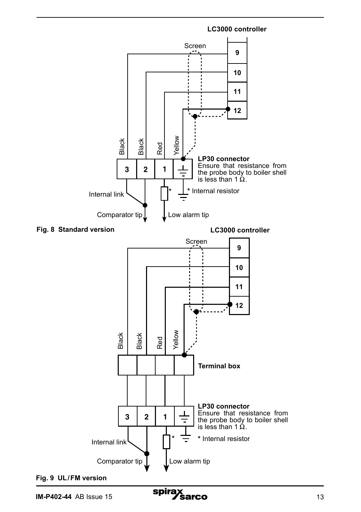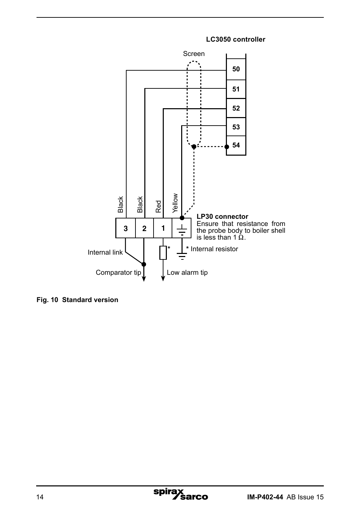

**Fig. 10 Standard version**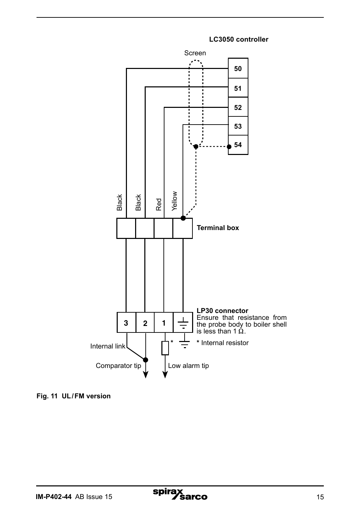

**Fig. 11 UL/FM version**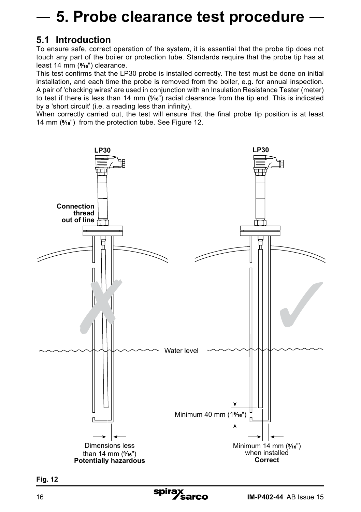# **5. Probe clearance test procedure**

# **5.1 Introduction**

To ensure safe, correct operation of the system, it is essential that the probe tip does not touch any part of the boiler or protection tube. Standards require that the probe tip has at least 14 mm  $(%e")$  clearance.

This test confirms that the LP30 probe is installed correctly. The test must be done on initial installation, and each time the probe is removed from the boiler, e.g. for annual inspection. A pair of 'checking wires' are used in conjunction with an Insulation Resistance Tester (meter) to test if there is less than 14 mm  $(\frac{9}{16})$  radial clearance from the tip end. This is indicated by a 'short circuit' (i.e. a reading less than infinity).

When correctly carried out, the test will ensure that the final probe tip position is at least 14 mm  $( %<sub>16</sub>")$  from the protection tube. See Figure 12.



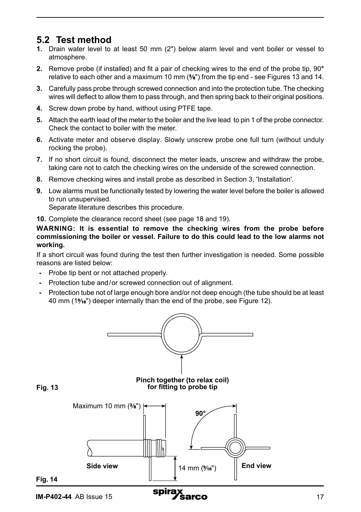## **5.2 Test method**

- **1.** Drain water level to at least 50 mm (2") below alarm level and vent boiler or vessel to atmosphere.
- **2.** Remove probe (if installed) and fit a pair of checking wires to the end of the probe tip, 90**°** relative to each other and a maximum 10 mm  $(3/6)$  from the tip end - see Figures 13 and 14.
- **3.** Carefully pass probe through screwed connection and into the protection tube. The checking wires will deflect to allow them to pass through, and then spring back to their original positions.
- **4.** Screw down probe by hand, without using PTFE tape.
- **5.** Attach the earth lead of the meter to the boiler and the live lead to pin 1 of the probe connector. Check the contact to boiler with the meter.
- **6.** Activate meter and observe display. Slowly unscrew probe one full turn (without unduly rocking the probe).
- **7.** If no short circuit is found, disconnect the meter leads, unscrew and withdraw the probe, taking care not to catch the checking wires on the underside of the screwed connection.
- **8.** Remove checking wires and install probe as described in Section 3, 'Installation'.
- **9.** Low alarms must be functionally tested by lowering the water level before the boiler is allowed to run unsupervised.

Separate literature describes this procedure.

**10.** Complete the clearance record sheet (see page 18 and 19).

**WARNING: It is essential to remove the checking wires from the probe before commissioning the boiler or vessel. Failure to do this could lead to the low alarms not working.**

If a short circuit was found during the test then further investigation is needed. Some possible reasons are listed below:

- **-** Probe tip bent or not attached properly.
- **-** Protection tube and/or screwed connection out of alignment.
- **-** Protection tube not of large enough bore and/or not deep enough (the tube should be at least 40 mm (1%%") deeper internally than the end of the probe, see Figure 12).



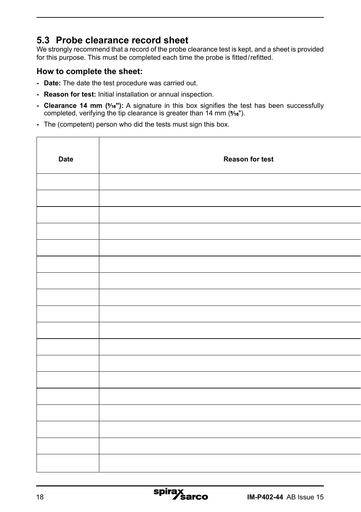# **5.3 Probe clearance record sheet**

We strongly recommend that a record of the probe clearance test is kept, and a sheet is provided for this purpose. This must be completed each time the probe is fitted/refitted.

### **How to complete the sheet:**

- **- Date:** The date the test procedure was carried out.
- **- Reason for test:** Initial installation or annual inspection.
- **- Clearance 14 mm ( "):** A signature in this box signifies the test has been successfully completed, verifying the tip clearance is greater than  $14 \text{ mm}$  (%).
- **-** The (competent) person who did the tests must sign this box.

| Date | Reason for test |
|------|-----------------|
|      |                 |
|      |                 |
|      |                 |
|      |                 |
|      |                 |
|      |                 |
|      |                 |
|      |                 |
|      |                 |
|      |                 |
|      |                 |
|      |                 |
|      |                 |
|      |                 |
|      |                 |
|      |                 |
|      |                 |
|      |                 |

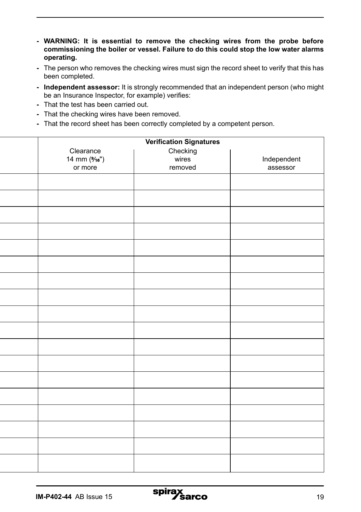- **- WARNING: It is essential to remove the checking wires from the probe before commissioning the boiler or vessel. Failure to do this could stop the low water alarms operating.**
- **-** The person who removes the checking wires must sign the record sheet to verify that this has been completed.
- **- Independent assessor:** It is strongly recommended that an independent person (who might be an Insurance Inspector, for example) verifies:
- **-** That the test has been carried out.
- **-** That the checking wires have been removed.
- **-** That the record sheet has been correctly completed by a competent person.

| Verification Signatures<br>Checking        |         |                         |
|--------------------------------------------|---------|-------------------------|
| Clearance                                  |         |                         |
| $14 \text{ mm } (\frac{9}{16})$<br>or more | wires   | Independent<br>assessor |
|                                            | removed |                         |
|                                            |         |                         |
|                                            |         |                         |
|                                            |         |                         |
|                                            |         |                         |
|                                            |         |                         |
|                                            |         |                         |
|                                            |         |                         |
|                                            |         |                         |
|                                            |         |                         |
|                                            |         |                         |
|                                            |         |                         |
|                                            |         |                         |
|                                            |         |                         |
|                                            |         |                         |
|                                            |         |                         |
|                                            |         |                         |
|                                            |         |                         |
|                                            |         |                         |
|                                            |         |                         |
|                                            |         |                         |
|                                            |         |                         |
|                                            |         |                         |
|                                            |         |                         |
|                                            |         |                         |
|                                            |         |                         |
|                                            |         |                         |
|                                            |         |                         |
|                                            |         |                         |
|                                            |         |                         |
|                                            |         |                         |
|                                            |         |                         |
|                                            |         |                         |
|                                            |         |                         |